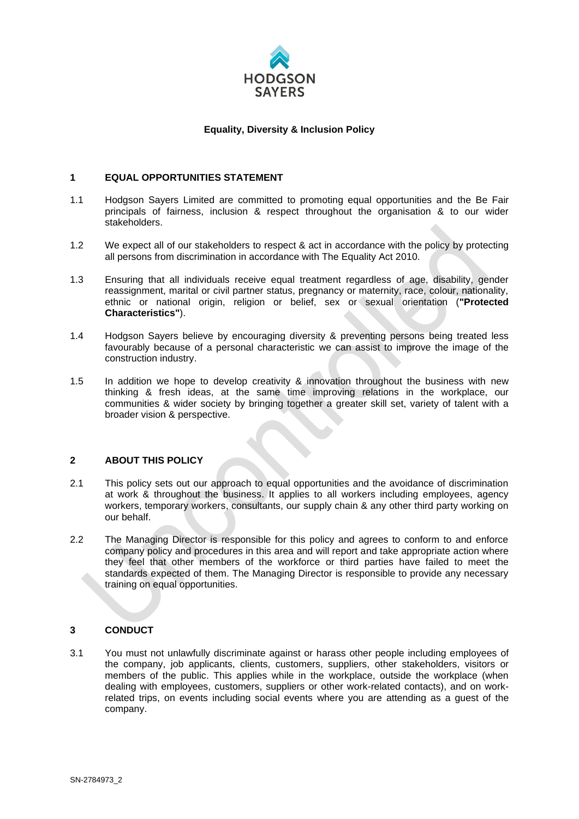

## **Equality, Diversity & Inclusion Policy**

### **1 EQUAL OPPORTUNITIES STATEMENT**

- 1.1 Hodgson Sayers Limited are committed to promoting equal opportunities and the Be Fair principals of fairness, inclusion & respect throughout the organisation & to our wider stakeholders.
- 1.2 We expect all of our stakeholders to respect & act in accordance with the policy by protecting all persons from discrimination in accordance with The Equality Act 2010.
- 1.3 Ensuring that all individuals receive equal treatment regardless of age, disability, gender reassignment, marital or civil partner status, pregnancy or maternity, race, colour, nationality, ethnic or national origin, religion or belief, sex or sexual orientation (**"Protected Characteristics"**).
- 1.4 Hodgson Sayers believe by encouraging diversity & preventing persons being treated less favourably because of a personal characteristic we can assist to improve the image of the construction industry.
- 1.5 In addition we hope to develop creativity & innovation throughout the business with new thinking & fresh ideas, at the same time improving relations in the workplace, our communities & wider society by bringing together a greater skill set, variety of talent with a broader vision & perspective.

## **2 ABOUT THIS POLICY**

- 2.1 This policy sets out our approach to equal opportunities and the avoidance of discrimination at work & throughout the business. It applies to all workers including employees, agency workers, temporary workers, consultants, our supply chain & any other third party working on our behalf.
- 2.2 The Managing Director is responsible for this policy and agrees to conform to and enforce company policy and procedures in this area and will report and take appropriate action where they feel that other members of the workforce or third parties have failed to meet the standards expected of them. The Managing Director is responsible to provide any necessary training on equal opportunities.

# **3 CONDUCT**

3.1 You must not unlawfully discriminate against or harass other people including employees of the company, job applicants, clients, customers, suppliers, other stakeholders, visitors or members of the public. This applies while in the workplace, outside the workplace (when dealing with employees, customers, suppliers or other work-related contacts), and on workrelated trips, on events including social events where you are attending as a guest of the company.